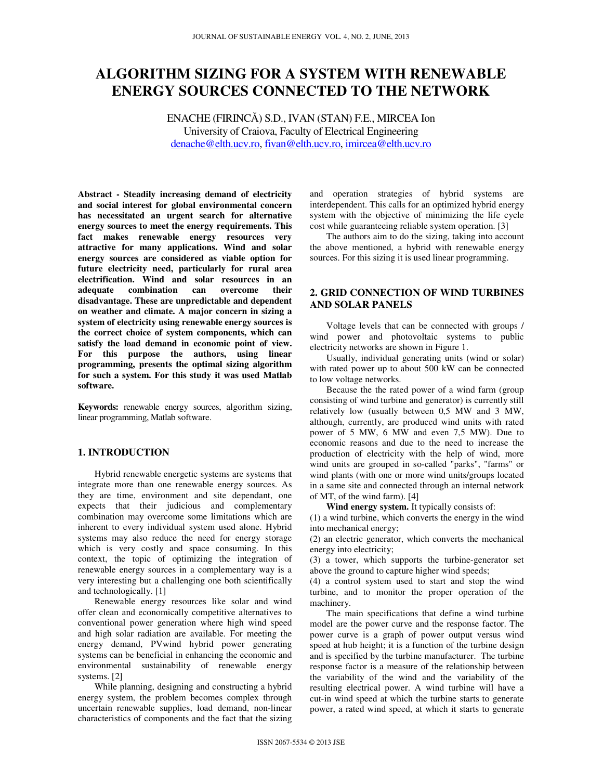# **ALGORITHM SIZING FOR A SYSTEM WITH RENEWABLE ENERGY SOURCES CONNECTED TO THE NETWORK**

ENACHE (FIRINCĂ) S.D., IVAN (STAN) F.E., MIRCEA Ion University of Craiova, Faculty of Electrical Engineering denache@elth.ucv.ro, fivan@elth.ucv.ro, imircea@elth.ucv.ro

**Abstract - Steadily increasing demand of electricity and social interest for global environmental concern has necessitated an urgent search for alternative energy sources to meet the energy requirements. This fact makes renewable energy resources very attractive for many applications. Wind and solar energy sources are considered as viable option for future electricity need, particularly for rural area electrification. Wind and solar resources in an adequate combination can overcome disadvantage. These are unpredictable and dependent on weather and climate. A major concern in sizing a system of electricity using renewable energy sources is the correct choice of system components, which can satisfy the load demand in economic point of view. For this purpose the authors, using linear programming, presents the optimal sizing algorithm for such a system. For this study it was used Matlab software.** 

**Keywords:** renewable energy sources, algorithm sizing, linear programming, Matlab software.

## **1. INTRODUCTION**

Hybrid renewable energetic systems are systems that integrate more than one renewable energy sources. As they are time, environment and site dependant, one expects that their judicious and complementary combination may overcome some limitations which are inherent to every individual system used alone. Hybrid systems may also reduce the need for energy storage which is very costly and space consuming. In this context, the topic of optimizing the integration of renewable energy sources in a complementary way is a very interesting but a challenging one both scientifically and technologically. [1]

Renewable energy resources like solar and wind offer clean and economically competitive alternatives to conventional power generation where high wind speed and high solar radiation are available. For meeting the energy demand, PVwind hybrid power generating systems can be beneficial in enhancing the economic and environmental sustainability of renewable energy systems. [2]

While planning, designing and constructing a hybrid energy system, the problem becomes complex through uncertain renewable supplies, load demand, non-linear characteristics of components and the fact that the sizing

and operation strategies of hybrid systems are interdependent. This calls for an optimized hybrid energy system with the objective of minimizing the life cycle cost while guaranteeing reliable system operation. [3]

The authors aim to do the sizing, taking into account the above mentioned, a hybrid with renewable energy sources. For this sizing it is used linear programming.

## **2. GRID CONNECTION OF WIND TURBINES AND SOLAR PANELS**

Voltage levels that can be connected with groups / wind power and photovoltaic systems to public electricity networks are shown in Figure 1.

Usually, individual generating units (wind or solar) with rated power up to about 500 kW can be connected to low voltage networks.

Because the the rated power of a wind farm (group consisting of wind turbine and generator) is currently still relatively low (usually between 0,5 MW and 3 MW, although, currently, are produced wind units with rated power of 5 MW, 6 MW and even 7,5 MW). Due to economic reasons and due to the need to increase the production of electricity with the help of wind, more wind units are grouped in so-called "parks", "farms" or wind plants (with one or more wind units/groups located in a same site and connected through an internal network of MT, of the wind farm). [4]

**Wind energy system.** It typically consists of:

(1) a wind turbine, which converts the energy in the wind into mechanical energy;

(2) an electric generator, which converts the mechanical energy into electricity;

(3) a tower, which supports the turbine-generator set above the ground to capture higher wind speeds;

(4) a control system used to start and stop the wind turbine, and to monitor the proper operation of the machinery.

The main specifications that define a wind turbine model are the power curve and the response factor. The power curve is a graph of power output versus wind speed at hub height; it is a function of the turbine design and is specified by the turbine manufacturer. The turbine response factor is a measure of the relationship between the variability of the wind and the variability of the resulting electrical power. A wind turbine will have a cut-in wind speed at which the turbine starts to generate power, a rated wind speed, at which it starts to generate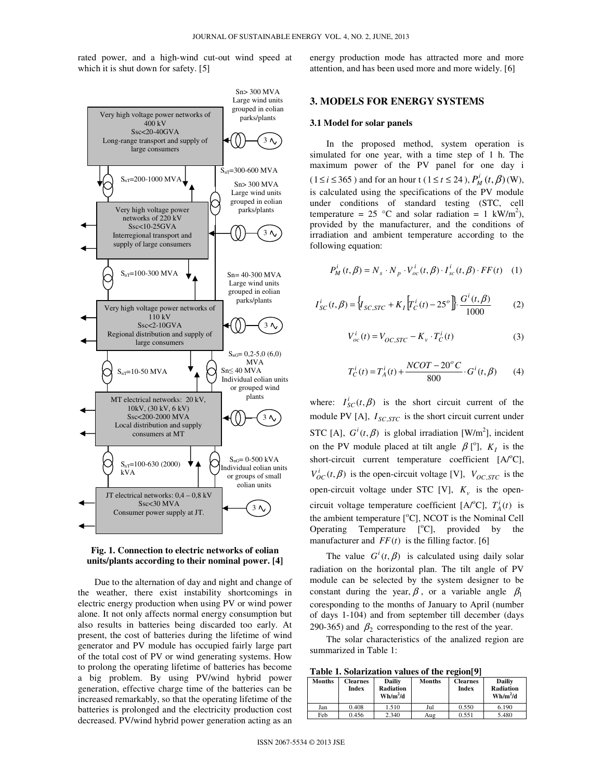rated power, and a high-wind cut-out wind speed at which it is shut down for safety. [5]





Due to the alternation of day and night and change of the weather, there exist instability shortcomings in electric energy production when using PV or wind power alone. It not only affects normal energy consumption but also results in batteries being discarded too early. At present, the cost of batteries during the lifetime of wind generator and PV module has occupied fairly large part of the total cost of PV or wind generating systems. How to prolong the operating lifetime of batteries has become a big problem. By using PV/wind hybrid power generation, effective charge time of the batteries can be increased remarkably, so that the operating lifetime of the batteries is prolonged and the electricity production cost decreased. PV/wind hybrid power generation acting as an energy production mode has attracted more and more attention, and has been used more and more widely. [6]

## **3. MODELS FOR ENERGY SYSTEMS**

## **3.1 Model for solar panels**

In the proposed method, system operation is simulated for one year, with a time step of 1 h. The maximum power of the PV panel for one day i (1≤*i* ≤ 365) and for an hour t (1≤*t* ≤ 24),  $P_M^i(t, \beta)$  (W), is calculated using the specifications of the PV module under conditions of standard testing (STC, cell temperature = 25 °C and solar radiation = 1 kW/m<sup>2</sup>), provided by the manufacturer, and the conditions of irradiation and ambient temperature according to the following equation:

$$
P_M^i(t, \beta) = N_s \cdot N_p \cdot V_{oc}^i(t, \beta) \cdot I_{sc}^i(t, \beta) \cdot FF(t) \quad (1)
$$

$$
I_{SC}^{i}(t, \beta) = \Big\{ I_{SC,STC} + K_I \Big[ T_C^{i}(t) - 25^o \Big] \cdot \frac{G^{i}(t, \beta)}{1000}
$$
 (2)

$$
V_{oc}^{i}(t) = V_{OC,STC} - K_{\nu} \cdot T_{C}^{i}(t)
$$
 (3)

$$
T_C^i(t) = T_A^i(t) + \frac{NCOT - 20^{\circ}C}{800} \cdot G^i(t, \beta)
$$
 (4)

where:  $I_{SC}^{i}(t, \beta)$  is the short circuit current of the module PV [A],  $I_{SC,STC}$  is the short circuit current under STC [A],  $G^{i}(t, \beta)$  is global irradiation [W/m<sup>2</sup>], incident on the PV module placed at tilt angle  $\beta$  [<sup>o</sup>],  $K_I$  is the short-circuit current temperature coefficient  $[A^oC]$ ,  $V_{OC}^i(t, \beta)$  is the open-circuit voltage [V],  $V_{OC,STC}$  is the open-circuit voltage under STC [V],  $K_v$  is the opencircuit voltage temperature coefficient [A/°C],  $T_A^i(t)$  is the ambient temperature  $[°C]$ , NCOT is the Nominal Cell Operating Temperature  $[°C]$ , provided by the manufacturer and  $FF(t)$  is the filling factor. [6]

The value  $G^{i}(t, \beta)$  is calculated using daily solar radiation on the horizontal plan. The tilt angle of PV module can be selected by the system designer to be constant during the year,  $\beta$ , or a variable angle  $\beta_1$ coresponding to the months of January to April (number of days 1-104) and from september till december (days 290-365) and  $\beta_2$  corresponding to the rest of the year.

The solar characteristics of the analized region are summarized in Table 1:

**Table 1. Solarization values of the region[9]** 

| <b>Table 1. Solarization values of the region</b> |                          |                                          |        |                          |                                                 |
|---------------------------------------------------|--------------------------|------------------------------------------|--------|--------------------------|-------------------------------------------------|
| <b>Months</b>                                     | <b>Clearnes</b><br>Index | Dailiv<br><b>Radiation</b><br>$Wh/m^2/d$ | Months | <b>Clearnes</b><br>Index | <b>Dailiv</b><br><b>Radiation</b><br>$Wh/m^2/d$ |
| Jan                                               | 0.408                    | 1.510                                    | Jul    | 0.550                    | 6.190                                           |
| Feb                                               | 0.456                    | 2.340                                    | Aug    | 0.551                    | 5.480                                           |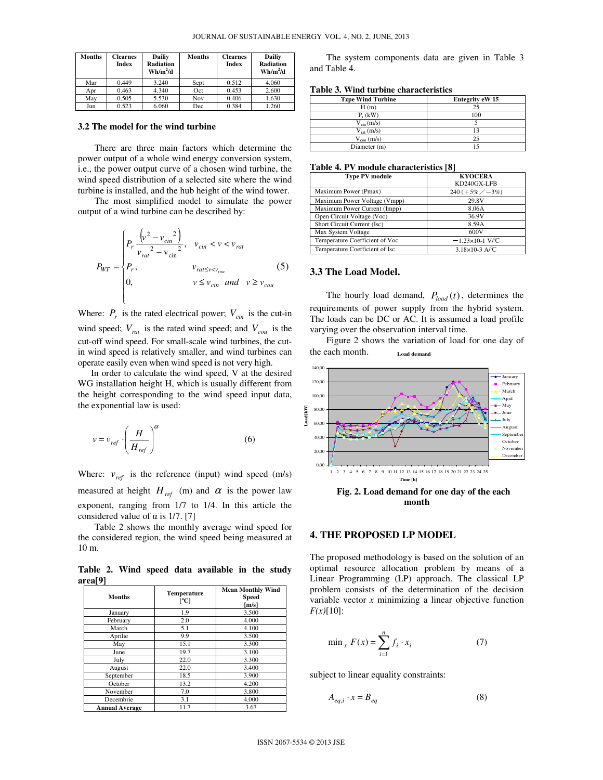| <b>Months</b> | <b>Clearnes</b><br>Index | <b>Dailiy</b><br>Radiation<br>$Wh/m^2/d$ | Months | <b>Clearnes</b><br>Index | Dailiy<br><b>Radiation</b><br>$Wh/m^2/d$ |
|---------------|--------------------------|------------------------------------------|--------|--------------------------|------------------------------------------|
| Mar           | 0.449                    | 3.240                                    | Sept   | 0.512                    | 4.060                                    |
| Apr           | 0.463                    | 4.340                                    | Oct    | 0.453                    | 2.600                                    |
| May           | 0.505                    | 5.530                                    | Nov    | 0.406                    | 1.630                                    |
| Jun           | 0.523                    | 6.060                                    | Dec    | 0.384                    | 1.260                                    |

#### **3.2 The model for the wind turbine**

There are three main factors which determine the power output of a whole wind energy conversion system, i.e., the power output curve of a chosen wind turbine, the wind speed distribution of a selected site where the wind turbine is installed, and the hub height of the wind tower.

The most simplified model to simulate the power output of a wind turbine can be described by:

$$
P_{WT} = \begin{cases} P_r \frac{\left(v^2 - v_{cin}^2\right)}{v_{rat}^2 - v_{cin}^2}, & v_{cin} < v < v_{rat} \\ P_r, & v_{rat \le v < v_{cou}} \\ 0, & v \le v_{cin} \text{ and } v \ge v_{cou} \end{cases}
$$
 (5)

Where:  $P_r$  is the rated electrical power;  $V_{cin}$  is the cut-in wind speed;  $V_{rat}$  is the rated wind speed; and  $V_{cou}$  is the cut-off wind speed. For small-scale wind turbines, the cutin wind speed is relatively smaller, and wind turbines can operate easily even when wind speed is not very high.

In order to calculate the wind speed, V at the desired WG installation height H, which is usually different from the height corresponding to the wind speed input data, the exponential law is used:

$$
v = v_{ref} \cdot \left(\frac{H}{H_{ref}}\right)^{\alpha} \tag{6}
$$

Where:  $v_{ref}$  is the reference (input) wind speed (m/s) measured at height  $H_{ref}$  (m) and  $\alpha$  is the power law exponent, ranging from 1/7 to 1/4. In this article the considered value of  $\alpha$  is 1/7. [7]

Table 2 shows the monthly average wind speed for the considered region, the wind speed being measured at 10 m.

**Table 2. Wind speed data available in the study area[9]** 

| <b>Months</b>         | Temperature<br>[°C] | <b>Mean Monthly Wind</b><br>Speed<br>[m/s] |
|-----------------------|---------------------|--------------------------------------------|
| January               | 1.9                 | 3.500                                      |
| February              | 2.0                 | 4.000                                      |
| March                 | 5.1                 | 4.100                                      |
| Aprilie               | 9.9                 | 3.500                                      |
| May                   | 15.1                | 3.300                                      |
| June                  | 19.7                | 3.100                                      |
| July                  | 22.0                | 3.300                                      |
| August                | 22.0                | 3.400                                      |
| September             | 18.5                | 3.900                                      |
| October               | 13.2                | 4.200                                      |
| November              | 7.0                 | 3.800                                      |
| Decembrie             | 3.1                 | 4.000                                      |
| <b>Annual Average</b> | 11.7                | 3.67                                       |

The system components data are given in Table 3 and Table 4.

| Table 3. Wind turbine characteristics |  |  |  |  |
|---------------------------------------|--|--|--|--|
|---------------------------------------|--|--|--|--|

| <b>Tzpe Wind Turbine</b> | <b>Entegrity eW 15</b> |
|--------------------------|------------------------|
| H(m)                     | 25                     |
| $P_r$ (kW)               | 100                    |
| $V_{\text{cin}}(m/s)$    |                        |
| $V_{\text{rot}}$ (m/s)   |                        |
| $V_{\text{cou}}$ (m/s)   | つう                     |
| Diameter (m)             |                        |

#### **Table 4. PV module characteristics [8]**

| <b>Type PV module</b>          | <b>KYOCERA</b>         |
|--------------------------------|------------------------|
|                                | KD240GX-LFB            |
| Maximum Power (Pmax)           | $240 (+5\% / -3\%)$    |
| Maximum Power Voltage (Vmpp)   | 29.8V                  |
| Maximum Power Current (Impp)   | 8.06A                  |
| Open Circuit Voltage (Voc)     | 36.9V                  |
| Short Circuit Current (Isc)    | 8.59A                  |
| Max System Voltage             | 600V                   |
| Temperature Coefficient of Voc | $-1.23\times10-1$ V/°C |
| Temperature Coefficient of Isc | $3.18\times10-3$ A/°C  |

## **3.3 The Load Model.**

The hourly load demand,  $P_{load}(t)$ , determines the requirements of power supply from the hybrid system. The loads can be DC or AC. It is assumed a load profile varying over the observation interval time.

Figure 2 shows the variation of load for one day of the each month. **Load demand**



**month** 

#### **4. THE PROPOSED LP MODEL**

The proposed methodology is based on the solution of an optimal resource allocation problem by means of a Linear Programming (LP) approach. The classical LP problem consists of the determination of the decision variable vector *x* minimizing a linear objective function  $F(x)[10]$ :

$$
\min_{x} F(x) = \sum_{i=1}^{n} f_i \cdot x_i
$$
 (7)

subject to linear equality constraints:

$$
A_{eq,i} \cdot x = B_{eq} \tag{8}
$$